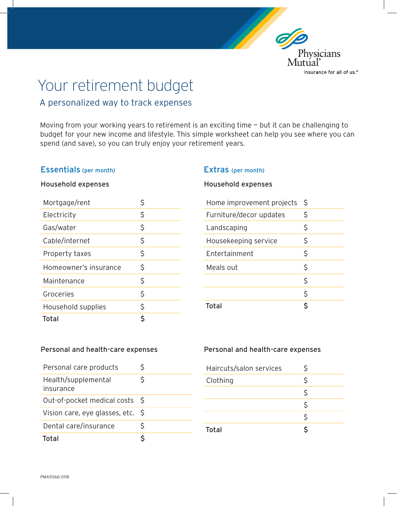

# Your retirement budget

# A personalized way to track expenses

Moving from your working years to retirement is an exciting time – but it can be challenging to budget for your new income and lifestyle. This simple worksheet can help you see where you can spend (and save), so you can truly enjoy your retirement years.

# Essentials (per month)

#### Extras (per month)

## Household expenses

| Mortgage/rent         |    |
|-----------------------|----|
| Electricity           | \$ |
| Gas/water             | \$ |
| Cable/internet        | \$ |
| Property taxes        | \$ |
| Homeowner's insurance | \$ |
| Maintenance           | \$ |
| Groceries             | \$ |
| Household supplies    | Ś  |
| <b>Total</b>          | ς  |

# Household expenses

| Home improvement projects | \$ |
|---------------------------|----|
| Furniture/decor updates   | \$ |
| Landscaping               | \$ |
| Housekeeping service      | \$ |
| Entertainment             | \$ |
| Meals out                 | \$ |
|                           | \$ |
|                           | \$ |
| Total                     | Ś  |

#### Personal and health-care expenses

| Personal care products           | S            |
|----------------------------------|--------------|
| Health/supplemental<br>insurance | S            |
| Out-of-pocket medical costs \$   |              |
| Vision care, eye glasses, etc.   | <sub>S</sub> |
| Dental care/insurance            | S            |
| Total                            |              |

# Personal and health-care expenses

| Haircuts/salon services | Ś  |  |
|-------------------------|----|--|
| Clothing                | \$ |  |
|                         | \$ |  |
|                         | \$ |  |
|                         | Ś. |  |
| <b>Total</b>            | \$ |  |